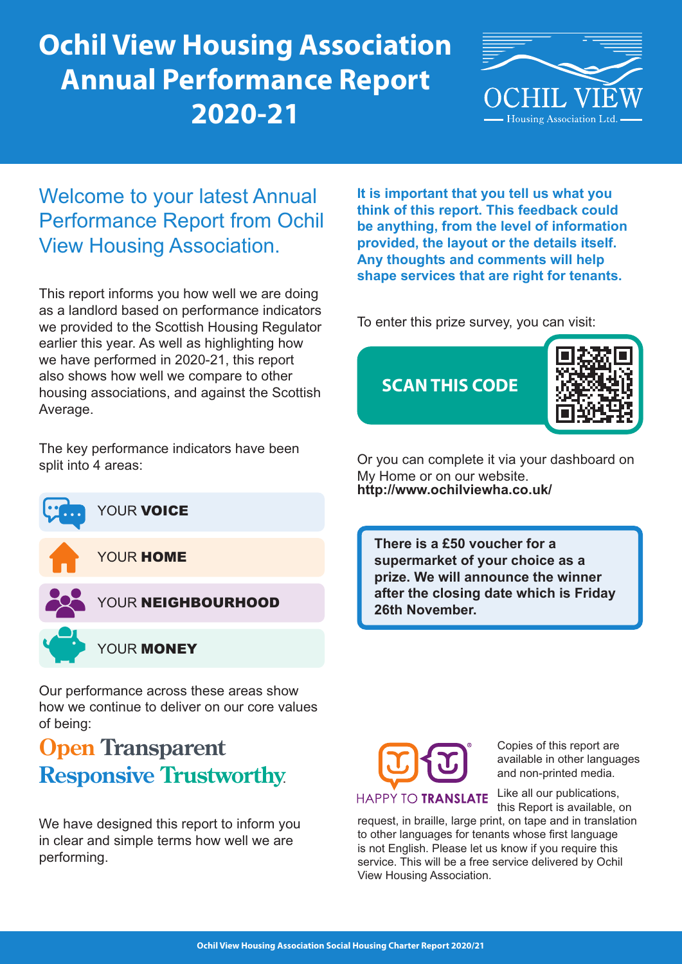# **Ochil View Housing Association Annual Performance Report 2020-21**



## Welcome to your latest Annual Performance Report from Ochil View Housing Association.

This report informs you how well we are doing as a landlord based on performance indicators we provided to the Scottish Housing Regulator earlier this year. As well as highlighting how we have performed in 2020-21, this report also shows how well we compare to other housing associations, and against the Scottish Average.

The key performance indicators have been split into 4 areas:







YOUR MONEY

Our performance across these areas show how we continue to deliver on our core values of being:

# **Open Transparent Responsive Trustworthy**.

We have designed this report to inform you in clear and simple terms how well we are performing.

**It is important that you tell us what you think of this report. This feedback could be anything, from the level of information provided, the layout or the details itself. Any thoughts and comments will help shape services that are right for tenants.**

To enter this prize survey, you can visit:



Or you can complete it via your dashboard on My Home or on our website. **http://www.ochilviewha.co.uk/**

**There is a £50 voucher for a supermarket of your choice as a prize. We will announce the winner after the closing date which is Friday 26th November.**



Copies of this report are available in other languages and non-printed media.

Like all our publications, this Report is available, on

request, in braille, large print, on tape and in translation to other languages for tenants whose first language is not English. Please let us know if you require this service. This will be a free service delivered by Ochil View Housing Association.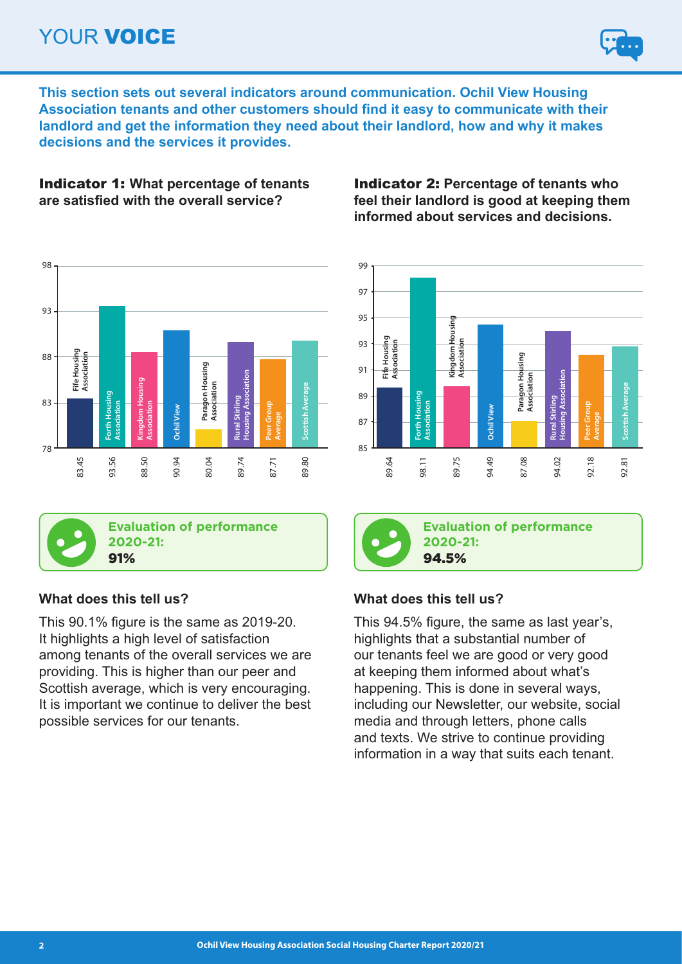# YOUR VOICE



**This section sets out several indicators around communication. Ochil View Housing Association tenants and other customers should find it easy to communicate with their landlord and get the information they need about their landlord, how and why it makes decisions and the services it provides.**

### Indicator 1: **What percentage of tenants are satisfied with the overall service?**





**Evaluation of performance 2020-21:**

## **What does this tell us?**

This 90.1% figure is the same as 2019-20. It highlights a high level of satisfaction among tenants of the overall services we are providing. This is higher than our peer and Scottish average, which is very encouraging. It is important we continue to deliver the best possible services for our tenants.

Indicator 2: **Percentage of tenants who feel their landlord is good at keeping them informed about services and decisions.**



**Evaluation of performance 2020-21:** 94.5%

## **What does this tell us?**

This 94.5% figure, the same as last year's, highlights that a substantial number of our tenants feel we are good or very good at keeping them informed about what's happening. This is done in several ways, including our Newsletter, our website, social media and through letters, phone calls and texts. We strive to continue providing information in a way that suits each tenant.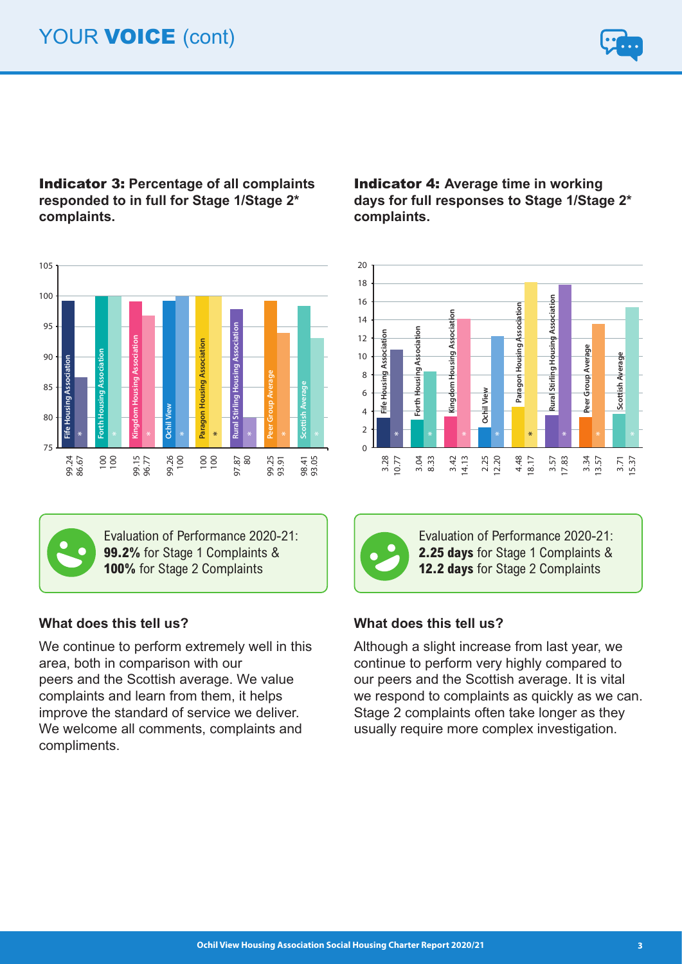

## Indicator 3: **Percentage of all complaints responded to in full for Stage 1/Stage 2\* complaints.**





Evaluation of Performance 2020-21: **99.2%** for Stage 1 Complaints & **100%** for Stage 2 Complaints

## **What does this tell us?**

We continue to perform extremely well in this area, both in comparison with our peers and the Scottish average. We value complaints and learn from them, it helps improve the standard of service we deliver. We welcome all comments, complaints and compliments.

Indicator 4: **Average time in working days for full responses to Stage 1/Stage 2\* complaints.**





Evaluation of Performance 2020-21: **2.25 days** for Stage 1 Complaints & **12.2 days** for Stage 2 Complaints

## **What does this tell us?**

Although a slight increase from last year, we continue to perform very highly compared to our peers and the Scottish average. It is vital we respond to complaints as quickly as we can. Stage 2 complaints often take longer as they usually require more complex investigation.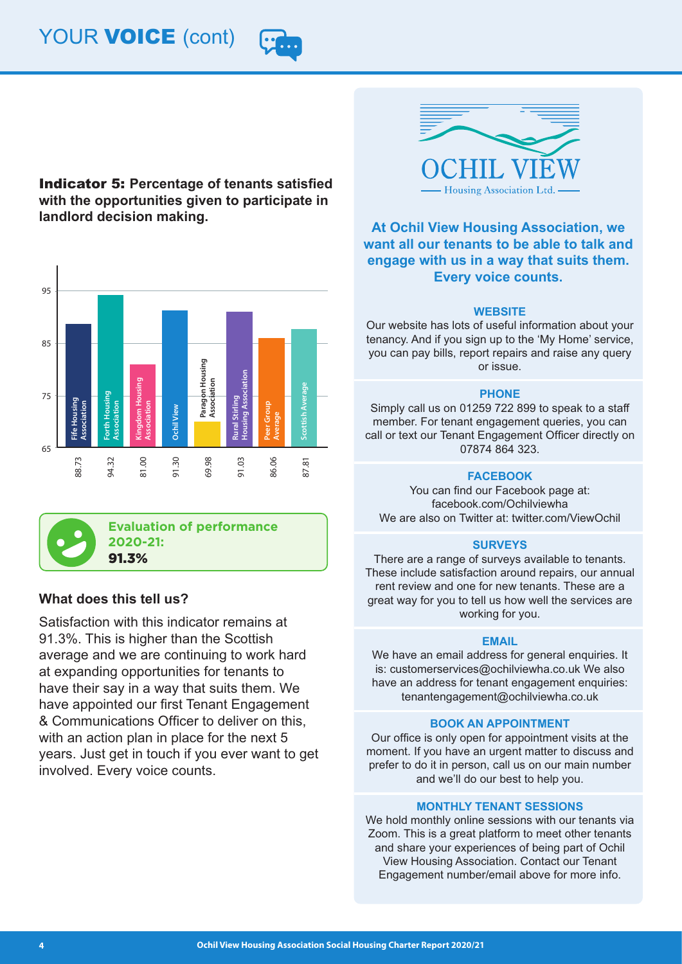# YOUR **VOICE** (cont)



Indicator 5: **Percentage of tenants satisfied with the opportunities given to participate in landlord decision making.**





**Evaluation of performance 2020-21:**  91.3%

### **What does this tell us?**

Satisfaction with this indicator remains at 91.3%. This is higher than the Scottish average and we are continuing to work hard at expanding opportunities for tenants to have their say in a way that suits them. We have appointed our first Tenant Engagement & Communications Officer to deliver on this, with an action plan in place for the next 5 years. Just get in touch if you ever want to get involved. Every voice counts.



### **At Ochil View Housing Association, we want all our tenants to be able to talk and engage with us in a way that suits them. Every voice counts.**

#### **WEBSITE**

Our website has lots of useful information about your tenancy. And if you sign up to the 'My Home' service, you can pay bills, report repairs and raise any query or issue.

#### **PHONE**

Simply call us on 01259 722 899 to speak to a staff member. For tenant engagement queries, you can call or text our Tenant Engagement Officer directly on 07874 864 323.

### **FACEBOOK**

You can find our Facebook page at: facebook.com/Ochilviewha We are also on Twitter at: twitter.com/ViewOchil

### **SURVEYS**

There are a range of surveys available to tenants. These include satisfaction around repairs, our annual rent review and one for new tenants. These are a great way for you to tell us how well the services are working for you.

### **EMAIL**

We have an email address for general enquiries. It is: customerservices@ochilviewha.co.uk We also have an address for tenant engagement enquiries: tenantengagement@ochilviewha.co.uk

### **BOOK AN APPOINTMENT**

Our office is only open for appointment visits at the moment. If you have an urgent matter to discuss and prefer to do it in person, call us on our main number and we'll do our best to help you.

### **MONTHLY TENANT SESSIONS**

We hold monthly online sessions with our tenants via Zoom. This is a great platform to meet other tenants and share your experiences of being part of Ochil View Housing Association. Contact our Tenant Engagement number/email above for more info.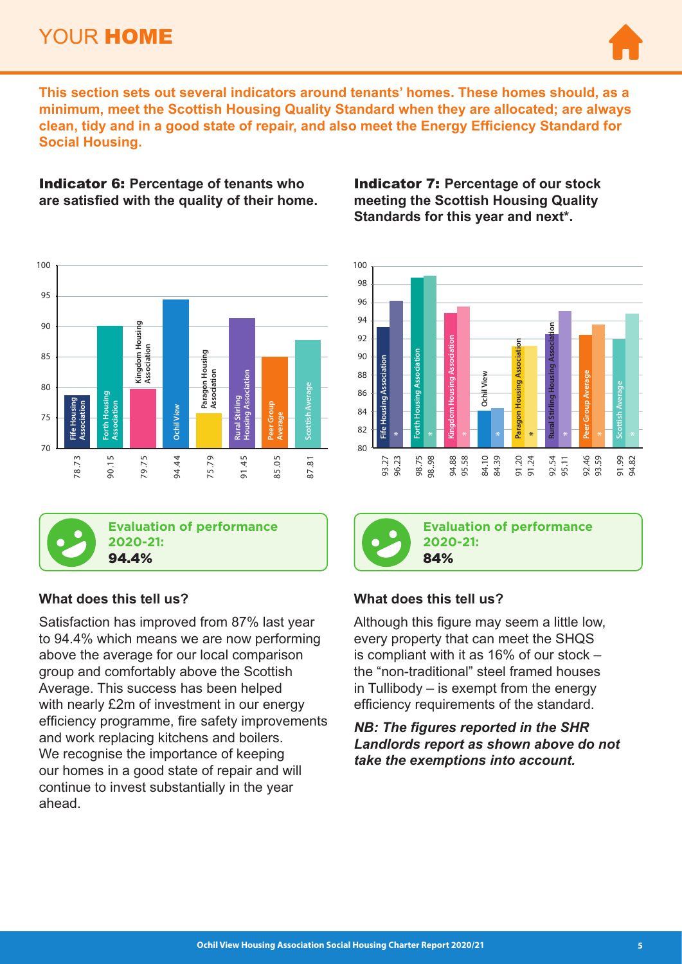## YOUR HOME



**This section sets out several indicators around tenants' homes. These homes should, as a minimum, meet the Scottish Housing Quality Standard when they are allocated; are always clean, tidy and in a good state of repair, and also meet the Energy Efficiency Standard for Social Housing.**

Indicator 6: **Percentage of tenants who are satisfied with the quality of their home.**





**Evaluation of performance 2020-21:**  94.4%

### **What does this tell us?**

Satisfaction has improved from 87% last year to 94.4% which means we are now performing above the average for our local comparison group and comfortably above the Scottish Average. This success has been helped with nearly £2m of investment in our energy efficiency programme, fire safety improvements and work replacing kitchens and boilers. We recognise the importance of keeping our homes in a good state of repair and will continue to invest substantially in the year ahead.

Indicator 7: **Percentage of our stock meeting the Scottish Housing Quality Standards for this year and next\*.**



84%

**Evaluation of performance 2020-21:** 

## **What does this tell us?**

Although this figure may seem a little low, every property that can meet the SHQS is compliant with it as 16% of our stock – the "non-traditional" steel framed houses in Tullibody – is exempt from the energy efficiency requirements of the standard. **Evaluation of performance of Sanctana 1998.**<br> **Evaluation of performance 199.**<br> **Evaluation of performance 199.**<br> **Evaluation of performance 199.**<br> **Rancta 42.**<br> **Rancta 42.**<br> **Rancta 42.11 91.11 91.11 91.11 91.11 91.11 9** 

*NB: The figures reported in the SHR Landlords report as shown above do not*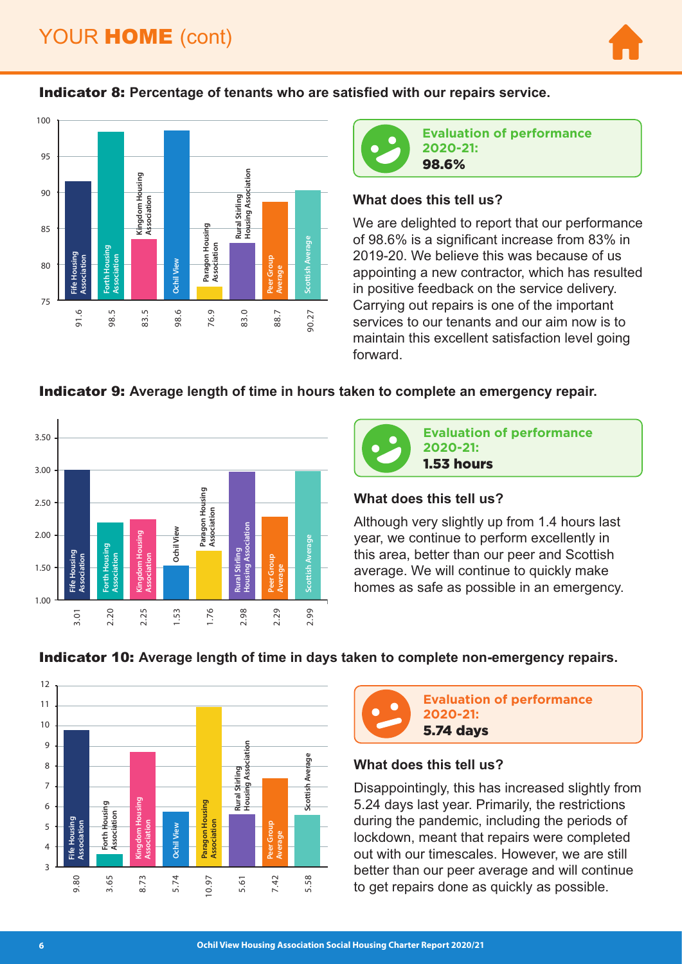# YOUR **HOME** (cont)



### Indicator 8: **Percentage of tenants who are satisfied with our repairs service.**





**Evaluation of performance 2020-21:**  98.6%

### **What does this tell us?**

We are delighted to report that our performance of 98.6% is a significant increase from 83% in 2019-20. We believe this was because of us appointing a new contractor, which has resulted in positive feedback on the service delivery. Carrying out repairs is one of the important services to our tenants and our aim now is to maintain this excellent satisfaction level going forward.

### Indicator 9: **Average length of time in hours taken to complete an emergency repair.**





### **What does this tell us?**

Although very slightly up from 1.4 hours last year, we continue to perform excellently in this area, better than our peer and Scottish average. We will continue to quickly make homes as safe as possible in an emergency.



## Indicator 10: **Average length of time in days taken to complete non-emergency repairs.**



# 5.74 days

### **What does this tell us?**

Disappointingly, this has increased slightly from 5.24 days last year. Primarily, the restrictions during the pandemic, including the periods of lockdown, meant that repairs were completed out with our timescales. However, we are still better than our peer average and will continue to get repairs done as quickly as possible.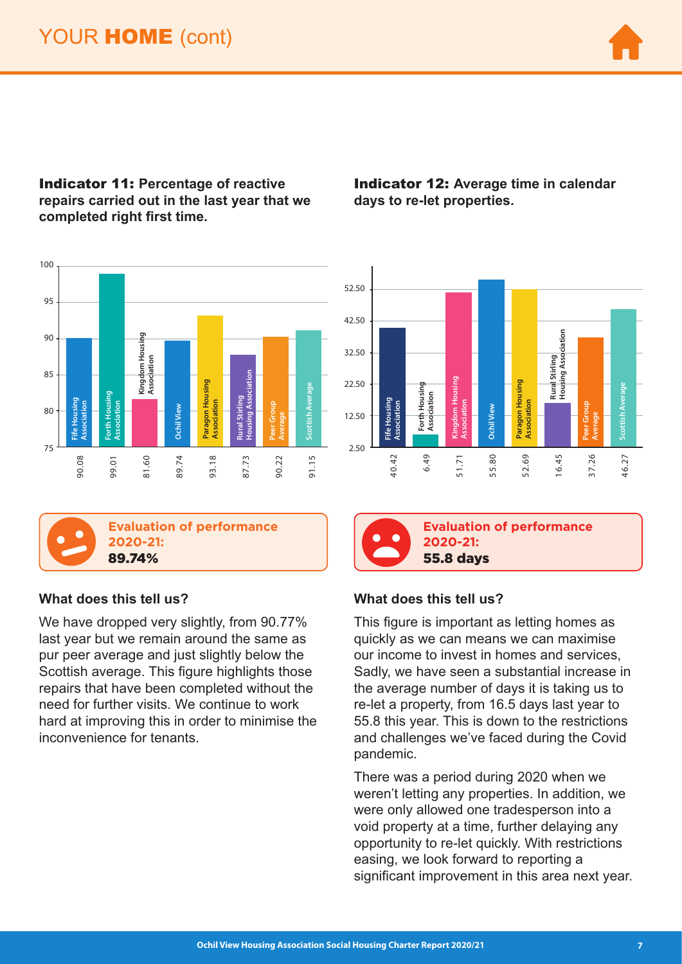

### Indicator 11: **Percentage of reactive repairs carried out in the last year that we completed right first time.**





**Evaluation of performance 2020-21:**  89.74%

### **What does this tell us?**

We have dropped very slightly, from 90.77% last year but we remain around the same as pur peer average and just slightly below the Scottish average. This figure highlights those repairs that have been completed without the need for further visits. We continue to work hard at improving this in order to minimise the **Exaltation of**<br>
The strain of the strain of the strain of the strain of the strain of the strain of the strain of the strain of the strain of the strain of the strain of the strain of the strain of the strain and purpler

Indicator 12: **Average time in calendar days to re-let properties.**



55.8 days

## **Evaluation of performance 2020-21:**

## **What does this tell us?**

This figure is important as letting homes as quickly as we can means we can maximise our income to invest in homes and services, Sadly, we have seen a substantial increase in the average number of days it is taking us to re-let a property, from 16.5 days last year to 55.8 this year. This is down to the restrictions and challenges we've faced during the Covid pandemic.

There was a period during 2020 when we weren't letting any properties. In addition, we were only allowed one tradesperson into a void property at a time, further delaying any opportunity to re-let quickly. With restrictions easing, we look forward to reporting a significant improvement in this area next year.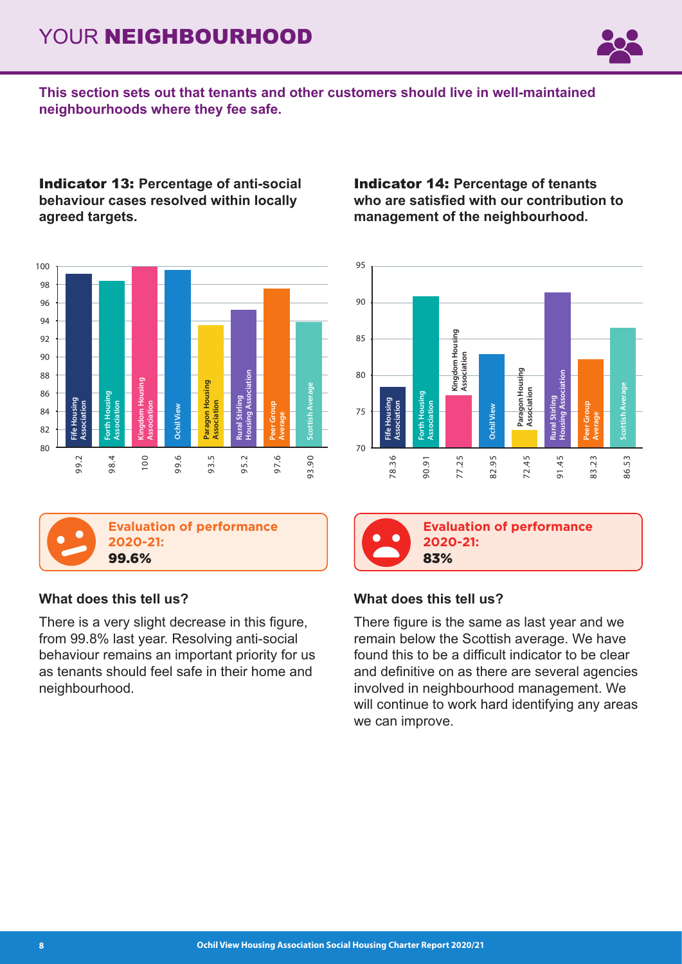# YOUR NEIGHBOURHOOD



**This section sets out that tenants and other customers should live in well-maintained neighbourhoods where they fee safe.**

Indicator 13: **Percentage of anti-social behaviour cases resolved within locally agreed targets.**





## **What does this tell us?**

There is a very slight decrease in this figure, from 99.8% last year. Resolving anti-social behaviour remains an important priority for us as tenants should feel safe in their home and neighbourhood.

Indicator 14: **Percentage of tenants who are satisfied with our contribution to management of the neighbourhood.**





**Evaluation of performance 2020-21:**  83%

## **What does this tell us?**

There figure is the same as last year and we remain below the Scottish average. We have found this to be a difficult indicator to be clear and definitive on as there are several agencies involved in neighbourhood management. We will continue to work hard identifying any areas Evalue<br>
2020<br>
83%<br>
What does this<br>
There figure is the<br>
remain below the<br>
found this to be<br>
and definitive on<br>
involved in neight will continue to we<br>
we can improve.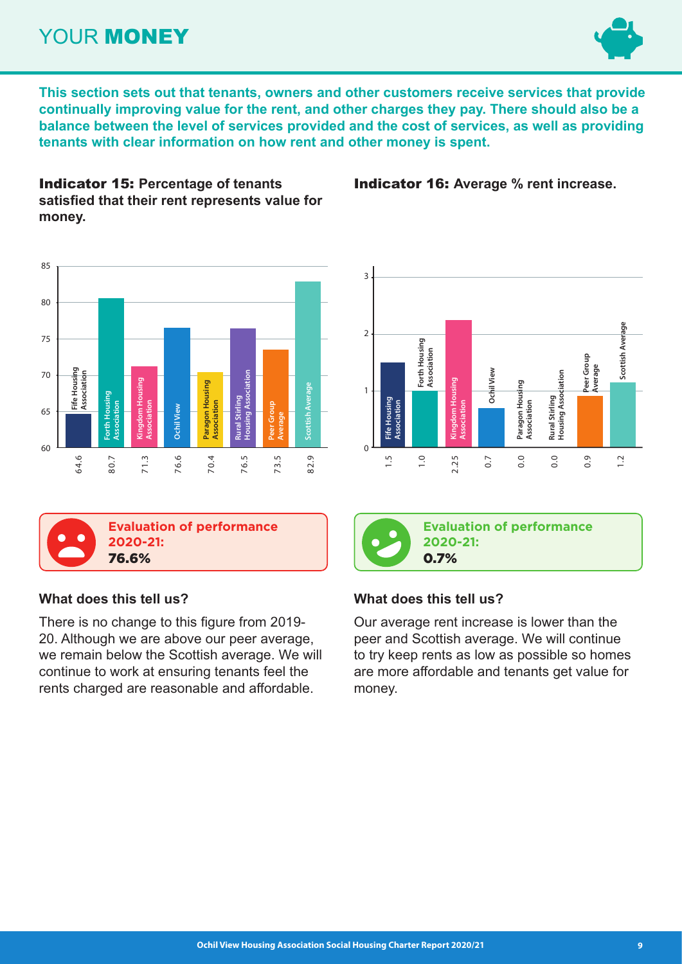## YOUR **MONEY**



**This section sets out that tenants, owners and other customers receive services that provide continually improving value for the rent, and other charges they pay. There should also be a balance between the level of services provided and the cost of services, as well as providing tenants with clear information on how rent and other money is spent.**

Indicator 15: **Percentage of tenants satisfied that their rent represents value for money.**





## **What does this tell us?**

There is no change to this figure from 2019- 20. Although we are above our peer average, we remain below the Scottish average. We will continue to work at ensuring tenants feel the rents charged are reasonable and affordable.



Indicator 16: **Average % rent increase.**



**Evaluation of performance 2020-21:**  0.7%

## **What does this tell us?**

Our average rent increase is lower than the peer and Scottish average. We will continue to try keep rents as low as possible so homes are more affordable and tenants get value for money.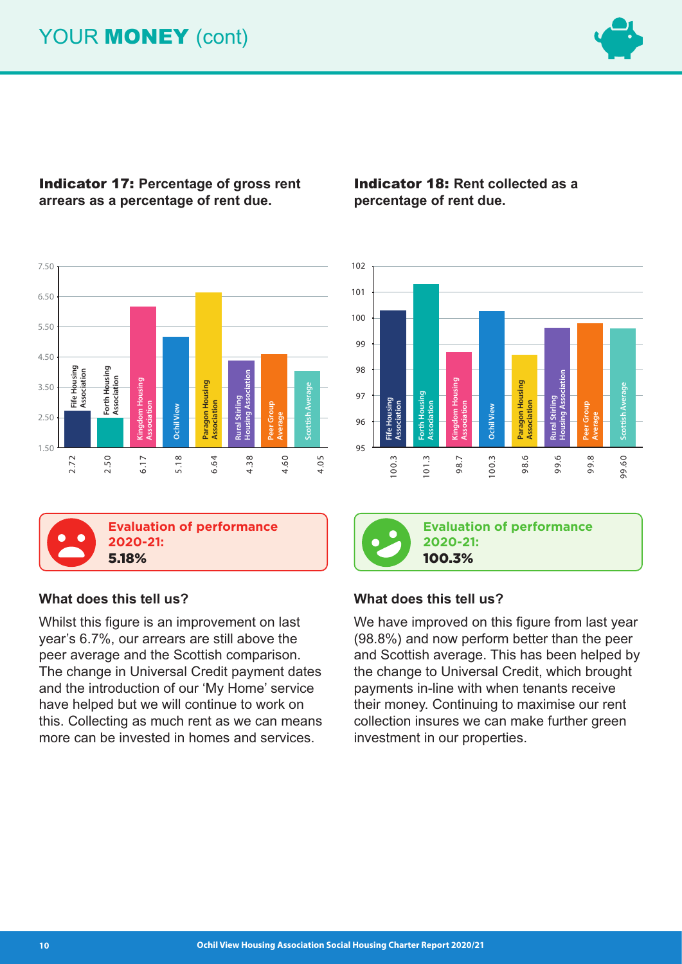# YOUR **MONEY** (cont)



## Indicator 17: **Percentage of gross rent arrears as a percentage of rent due.**



**Evaluation of performance** 



## **What does this tell us?**

**2020-21:** 

Whilst this figure is an improvement on last year's 6.7%, our arrears are still above the peer average and the Scottish comparison. The change in Universal Credit payment dates and the introduction of our 'My Home' service have helped but we will continue to work on this. Collecting as much rent as we can means **Evaluation of performance**<br> **Evaluation of performance**<br> **Evaluation of performance**<br> **EVALUATE 2020-21:**<br> **EVALUATE 2020-21:**<br> **EVALUATE 2020-21:**<br> **EVALUATE 2020-21:**<br> **EVALUATE 2020-21:**<br> **EVALUATE 2020-21:**<br> **EVALUAT** 

## Indicator 18: **Rent collected as a percentage of rent due.**





**Evaluation of performance 2020-21:**  100.3%

### **What does this tell us?**

We have improved on this figure from last year (98.8%) and now perform better than the peer and Scottish average. This has been helped by the change to Universal Credit, which brought payments in-line with when tenants receive their money. Continuing to maximise our rent collection insures we can make further green Evaluation of pe<br> **Evaluation of pe**<br> **Evaluation of pe**<br> **2020-21:**<br> **100.3%**<br>
What does this tell us?<br>
We have improved on this fig<br>
(98.8%) and now perform be<br>
and Scottish average. This h<br>
the change to Universal Cree<br>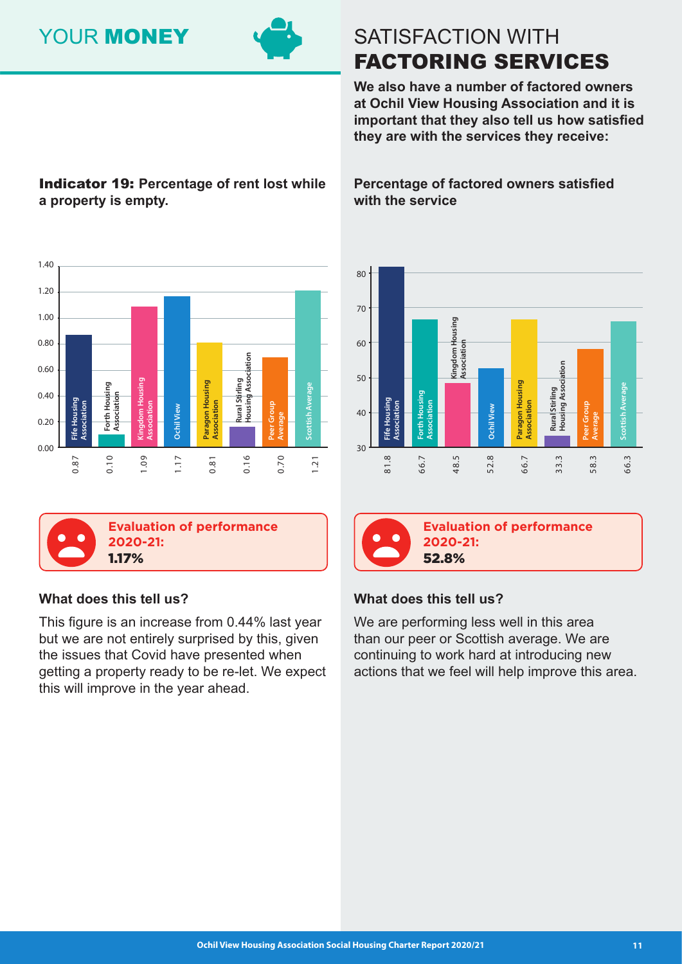# YOUR **MONEY**



# SATISFACTION WITH FACTORING SERVICES

**We also have a number of factored owners at Ochil View Housing Association and it is important that they also tell us how satisfied they are with the services they receive:**

## Indicator 19: **Percentage of rent lost while a property is empty.**

**Percentage of factored owners satisfied with the service**





## **What does this tell us?**

This figure is an increase from 0.44% last year but we are not entirely surprised by this, given the issues that Covid have presented when getting a property ready to be re-let. We expect this will improve in the year ahead.





**Evaluation of performance 2020-21:**  52.8%

## **What does this tell us?**

We are performing less well in this area than our peer or Scottish average. We are continuing to work hard at introducing new actions that we feel will help improve this area.